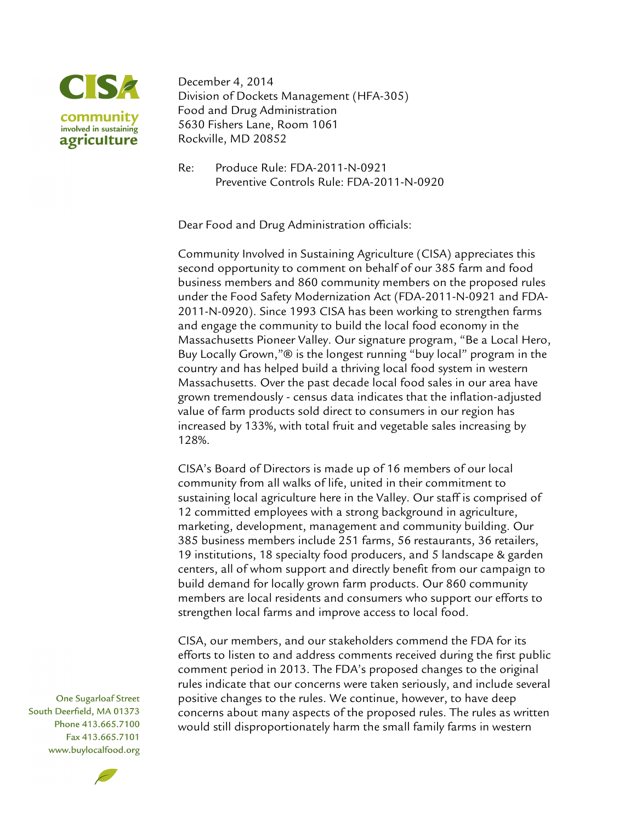

December 4, 2014 Division of Dockets Management (HFA-305) Food and Drug Administration 5630 Fishers Lane, Room 1061 Rockville, MD 20852

Re: Produce Rule: FDA-2011-N-0921 Preventive Controls Rule: FDA-2011-N-0920

Dear Food and Drug Administration officials:

Community Involved in Sustaining Agriculture (CISA) appreciates this second opportunity to comment on behalf of our 385 farm and food business members and 860 community members on the proposed rules under the Food Safety Modernization Act (FDA-2011-N-0921 and FDA-2011-N-0920). Since 1993 CISA has been working to strengthen farms and engage the community to build the local food economy in the Massachusetts Pioneer Valley. Our signature program, "Be a Local Hero, Buy Locally Grown,"® is the longest running "buy local" program in the country and has helped build a thriving local food system in western Massachusetts. Over the past decade local food sales in our area have grown tremendously - census data indicates that the inflation-adjusted value of farm products sold direct to consumers in our region has increased by 133%, with total fruit and vegetable sales increasing by 128%.

CISA's Board of Directors is made up of 16 members of our local community from all walks of life, united in their commitment to sustaining local agriculture here in the Valley. Our staff is comprised of 12 committed employees with a strong background in agriculture, marketing, development, management and community building. Our 385 business members include 251 farms, 56 restaurants, 36 retailers, 19 institutions, 18 specialty food producers, and 5 landscape & garden centers, all of whom support and directly benefit from our campaign to build demand for locally grown farm products. Our 860 community members are local residents and consumers who support our efforts to strengthen local farms and improve access to local food.

CISA, our members, and our stakeholders commend the FDA for its efforts to listen to and address comments received during the first public comment period in 2013. The FDA's proposed changes to the original rules indicate that our concerns were taken seriously, and include several positive changes to the rules. We continue, however, to have deep concerns about many aspects of the proposed rules. The rules as written would still disproportionately harm the small family farms in western

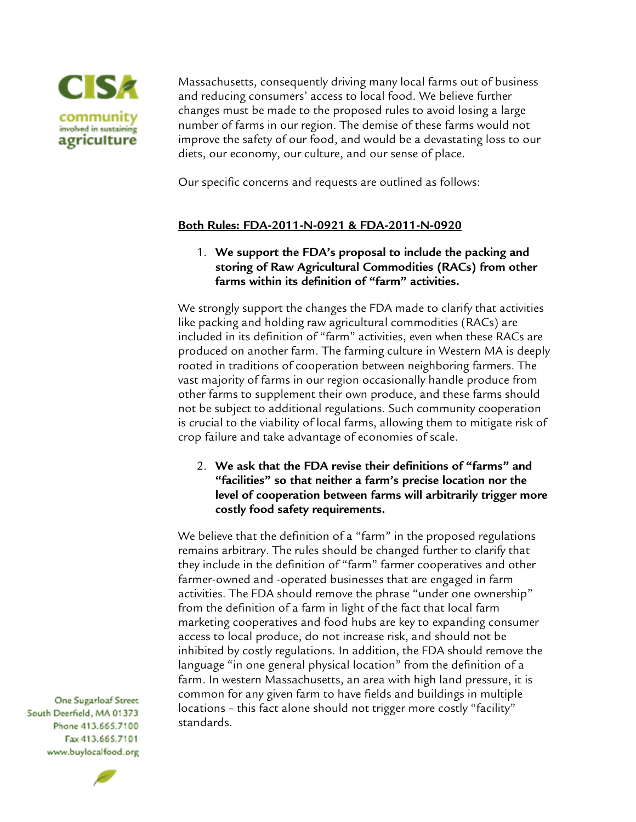

Massachusetts, consequently driving many local farms out of business and reducing consumers' access to local food. We believe further changes must be made to the proposed rules to avoid losing a large number of farms in our region. The demise of these farms would not improve the safety of our food, and would be a devastating loss to our diets, our economy, our culture, and our sense of place.

Our specific concerns and requests are outlined as follows:

#### **Both Rules: FDA-2011-N-0921 & FDA-2011-N-0920**

1. **We support the FDA's proposal to include the packing and storing of Raw Agricultural Commodities (RACs) from other farms within its definition of "farm" activities.** 

We strongly support the changes the FDA made to clarify that activities like packing and holding raw agricultural commodities (RACs) are included in its definition of "farm" activities, even when these RACs are produced on another farm. The farming culture in Western MA is deeply rooted in traditions of cooperation between neighboring farmers. The vast majority of farms in our region occasionally handle produce from other farms to supplement their own produce, and these farms should not be subject to additional regulations. Such community cooperation is crucial to the viability of local farms, allowing them to mitigate risk of crop failure and take advantage of economies of scale.

2. **We ask that the FDA revise their definitions of "farms" and "facilities" so that neither a farm's precise location nor the level of cooperation between farms will arbitrarily trigger more costly food safety requirements.**

We believe that the definition of a "farm" in the proposed regulations remains arbitrary. The rules should be changed further to clarify that they include in the definition of "farm" farmer cooperatives and other farmer-owned and -operated businesses that are engaged in farm activities. The FDA should remove the phrase "under one ownership" from the definition of a farm in light of the fact that local farm marketing cooperatives and food hubs are key to expanding consumer access to local produce, do not increase risk, and should not be inhibited by costly regulations. In addition, the FDA should remove the language "in one general physical location" from the definition of a farm. In western Massachusetts, an area with high land pressure, it is common for any given farm to have fields and buildings in multiple locations - this fact alone should not trigger more costly "facility" standards.

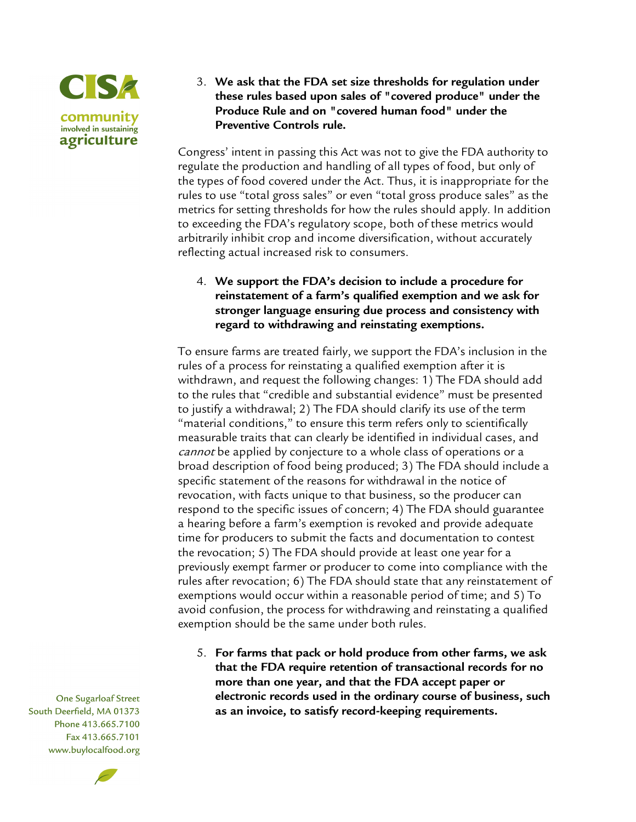

3. **We ask that the FDA set size thresholds for regulation under these rules based upon sales of "covered produce" under the Produce Rule and on "covered human food" under the Preventive Controls rule.**

Congress' intent in passing this Act was not to give the FDA authority to regulate the production and handling of all types of food, but only of the types of food covered under the Act. Thus, it is inappropriate for the rules to use "total gross sales" or even "total gross produce sales" as the metrics for setting thresholds for how the rules should apply. In addition to exceeding the FDA's regulatory scope, both of these metrics would arbitrarily inhibit crop and income diversification, without accurately reflecting actual increased risk to consumers.

4. **We support the FDA's decision to include a procedure for reinstatement of a farm's qualified exemption and we ask for stronger language ensuring due process and consistency with regard to withdrawing and reinstating exemptions.**

To ensure farms are treated fairly, we support the FDA's inclusion in the rules of a process for reinstating a qualified exemption after it is withdrawn, and request the following changes: 1) The FDA should add to the rules that "credible and substantial evidence" must be presented to justify a withdrawal; 2) The FDA should clarify its use of the term "material conditions," to ensure this term refers only to scientifically measurable traits that can clearly be identified in individual cases, and cannot be applied by conjecture to a whole class of operations or a broad description of food being produced; 3) The FDA should include a specific statement of the reasons for withdrawal in the notice of revocation, with facts unique to that business, so the producer can respond to the specific issues of concern; 4) The FDA should guarantee a hearing before a farm's exemption is revoked and provide adequate time for producers to submit the facts and documentation to contest the revocation; 5) The FDA should provide at least one year for a previously exempt farmer or producer to come into compliance with the rules after revocation; 6) The FDA should state that any reinstatement of exemptions would occur within a reasonable period of time; and 5) To avoid confusion, the process for withdrawing and reinstating a qualified exemption should be the same under both rules.

5. **For farms that pack or hold produce from other farms, we ask that the FDA require retention of transactional records for no more than one year, and that the FDA accept paper or electronic records used in the ordinary course of business, such as an invoice, to satisfy record-keeping requirements.** 

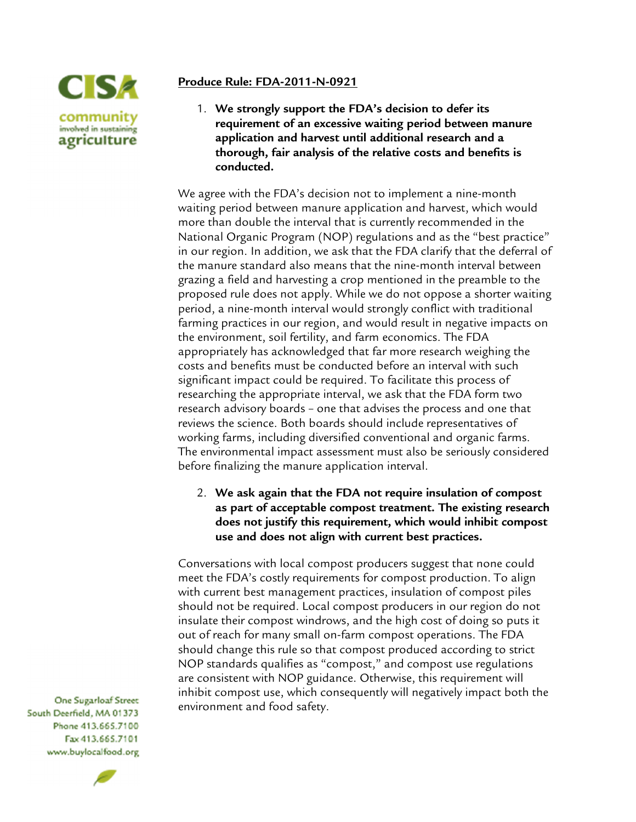

### **Produce Rule: FDA-2011-N-0921**

1. **We strongly support the FDA's decision to defer its requirement of an excessive waiting period between manure application and harvest until additional research and a thorough, fair analysis of the relative costs and benefits is conducted.**

We agree with the FDA's decision not to implement a nine-month waiting period between manure application and harvest, which would more than double the interval that is currently recommended in the National Organic Program (NOP) regulations and as the "best practice" in our region. In addition, we ask that the FDA clarify that the deferral of the manure standard also means that the nine-month interval between grazing a field and harvesting a crop mentioned in the preamble to the proposed rule does not apply. While we do not oppose a shorter waiting period, a nine-month interval would strongly conflict with traditional farming practices in our region, and would result in negative impacts on the environment, soil fertility, and farm economics. The FDA appropriately has acknowledged that far more research weighing the costs and benefits must be conducted before an interval with such significant impact could be required. To facilitate this process of researching the appropriate interval, we ask that the FDA form two research advisory boards – one that advises the process and one that reviews the science. Both boards should include representatives of working farms, including diversified conventional and organic farms. The environmental impact assessment must also be seriously considered before finalizing the manure application interval.

2. **We ask again that the FDA not require insulation of compost as part of acceptable compost treatment. The existing research does not justify this requirement, which would inhibit compost use and does not align with current best practices.**

Conversations with local compost producers suggest that none could meet the FDA's costly requirements for compost production. To align with current best management practices, insulation of compost piles should not be required. Local compost producers in our region do not insulate their compost windrows, and the high cost of doing so puts it out of reach for many small on-farm compost operations. The FDA should change this rule so that compost produced according to strict NOP standards qualifies as "compost," and compost use regulations are consistent with NOP guidance. Otherwise, this requirement will inhibit compost use, which consequently will negatively impact both the environment and food safety.

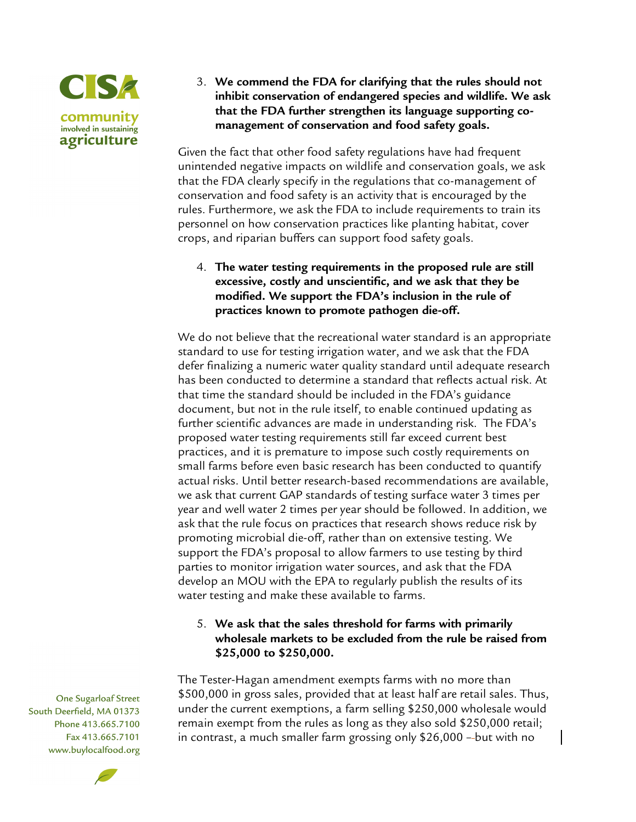

3. **We commend the FDA for clarifying that the rules should not inhibit conservation of endangered species and wildlife. We ask that the FDA further strengthen its language supporting comanagement of conservation and food safety goals.** 

Given the fact that other food safety regulations have had frequent unintended negative impacts on wildlife and conservation goals, we ask that the FDA clearly specify in the regulations that co-management of conservation and food safety is an activity that is encouraged by the rules. Furthermore, we ask the FDA to include requirements to train its personnel on how conservation practices like planting habitat, cover crops, and riparian buffers can support food safety goals.

4. **The water testing requirements in the proposed rule are still excessive, costly and unscientific, and we ask that they be modified. We support the FDA's inclusion in the rule of practices known to promote pathogen die-off.** 

We do not believe that the recreational water standard is an appropriate standard to use for testing irrigation water, and we ask that the FDA defer finalizing a numeric water quality standard until adequate research has been conducted to determine a standard that reflects actual risk. At that time the standard should be included in the FDA's guidance document, but not in the rule itself, to enable continued updating as further scientific advances are made in understanding risk. The FDA's proposed water testing requirements still far exceed current best practices, and it is premature to impose such costly requirements on small farms before even basic research has been conducted to quantify actual risks. Until better research-based recommendations are available, we ask that current GAP standards of testing surface water 3 times per year and well water 2 times per year should be followed. In addition, we ask that the rule focus on practices that research shows reduce risk by promoting microbial die-off, rather than on extensive testing. We support the FDA's proposal to allow farmers to use testing by third parties to monitor irrigation water sources, and ask that the FDA develop an MOU with the EPA to regularly publish the results of its water testing and make these available to farms.

# 5. **We ask that the sales threshold for farms with primarily wholesale markets to be excluded from the rule be raised from \$25,000 to \$250,000.**

The Tester-Hagan amendment exempts farms with no more than \$500,000 in gross sales, provided that at least half are retail sales. Thus, under the current exemptions, a farm selling \$250,000 wholesale would remain exempt from the rules as long as they also sold \$250,000 retail; in contrast, a much smaller farm grossing only \$26,000 – but with no

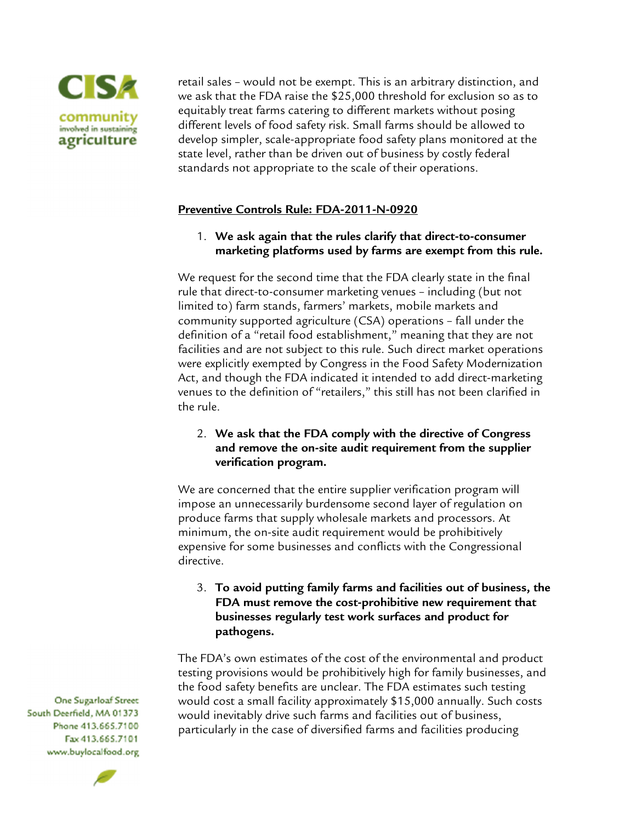

retail sales – would not be exempt. This is an arbitrary distinction, and we ask that the FDA raise the \$25,000 threshold for exclusion so as to equitably treat farms catering to different markets without posing different levels of food safety risk. Small farms should be allowed to develop simpler, scale-appropriate food safety plans monitored at the state level, rather than be driven out of business by costly federal standards not appropriate to the scale of their operations.

### **Preventive Controls Rule: FDA-2011-N-0920**

1. **We ask again that the rules clarify that direct-to-consumer marketing platforms used by farms are exempt from this rule.** 

We request for the second time that the FDA clearly state in the final rule that direct-to-consumer marketing venues – including (but not limited to) farm stands, farmers' markets, mobile markets and community supported agriculture (CSA) operations – fall under the definition of a "retail food establishment," meaning that they are not facilities and are not subject to this rule. Such direct market operations were explicitly exempted by Congress in the Food Safety Modernization Act, and though the FDA indicated it intended to add direct-marketing venues to the definition of "retailers," this still has not been clarified in the rule.

# 2. **We ask that the FDA comply with the directive of Congress and remove the on-site audit requirement from the supplier verification program.**

We are concerned that the entire supplier verification program will impose an unnecessarily burdensome second layer of regulation on produce farms that supply wholesale markets and processors. At minimum, the on-site audit requirement would be prohibitively expensive for some businesses and conflicts with the Congressional directive.

3. **To avoid putting family farms and facilities out of business, the FDA must remove the cost-prohibitive new requirement that businesses regularly test work surfaces and product for pathogens.** 

The FDA's own estimates of the cost of the environmental and product testing provisions would be prohibitively high for family businesses, and the food safety benefits are unclear. The FDA estimates such testing would cost a small facility approximately \$15,000 annually. Such costs would inevitably drive such farms and facilities out of business, particularly in the case of diversified farms and facilities producing